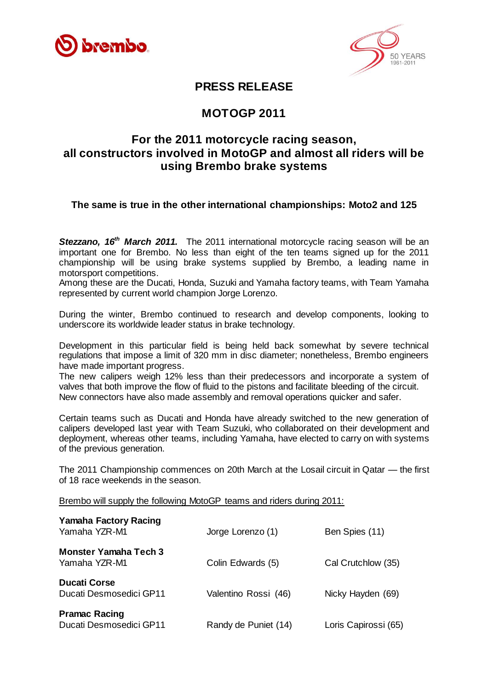



## **PRESS RELEASE**

# **MOTOGP 2011**

## **For the 2011 motorcycle racing season, all constructors involved in MotoGP and almost all riders will be using Brembo brake systems**

#### **The same is true in the other international championships: Moto2 and 125**

**Stezzano, 16<sup>th</sup> March 2011.** The 2011 international motorcycle racing season will be an important one for Brembo. No less than eight of the ten teams signed up for the 2011 championship will be using brake systems supplied by Brembo, a leading name in motorsport competitions.

Among these are the Ducati, Honda, Suzuki and Yamaha factory teams, with Team Yamaha represented by current world champion Jorge Lorenzo.

During the winter, Brembo continued to research and develop components, looking to underscore its worldwide leader status in brake technology.

Development in this particular field is being held back somewhat by severe technical regulations that impose a limit of 320 mm in disc diameter; nonetheless, Brembo engineers have made important progress.

The new calipers weigh 12% less than their predecessors and incorporate a system of valves that both improve the flow of fluid to the pistons and facilitate bleeding of the circuit. New connectors have also made assembly and removal operations quicker and safer.

Certain teams such as Ducati and Honda have already switched to the new generation of calipers developed last year with Team Suzuki, who collaborated on their development and deployment, whereas other teams, including Yamaha, have elected to carry on with systems of the previous generation.

The 2011 Championship commences on 20th March at the Losail circuit in Qatar — the first of 18 race weekends in the season.

Brembo will supply the following MotoGP teams and riders during 2011:

| <b>Yamaha Factory Racing</b><br>Yamaha YZR-M1   | Jorge Lorenzo (1)    | Ben Spies (11)       |
|-------------------------------------------------|----------------------|----------------------|
| Monster Yamaha Tech 3<br>Yamaha YZR-M1          | Colin Edwards (5)    | Cal Crutchlow (35)   |
| <b>Ducati Corse</b><br>Ducati Desmosedici GP11  | Valentino Rossi (46) | Nicky Hayden (69)    |
| <b>Pramac Racing</b><br>Ducati Desmosedici GP11 | Randy de Puniet (14) | Loris Capirossi (65) |